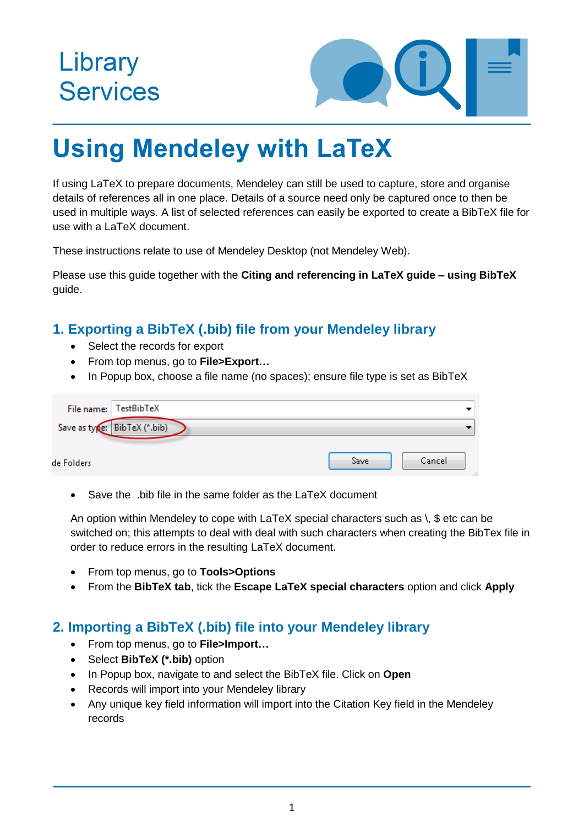# Library **Services**



# **Using Mendeley with LaTeX**

If using LaTeX to prepare documents, Mendeley can still be used to capture, store and organise details of references all in one place. Details of a source need only be captured once to then be used in multiple ways. A list of selected references can easily be exported to create a BibTeX file for use with a LaTeX document.

These instructions relate to use of Mendeley Desktop (not Mendeley Web).

Please use this guide together with the **Citing and referencing in LaTeX guide – using BibTeX** guide.

## **1. Exporting a BibTeX (.bib) file from your Mendeley library**

- Select the records for export
- From top menus, go to **File>Export…**
- In Popup box, choose a file name (no spaces); ensure file type is set as BibTeX

|             | File name: TestBibTeX        |      |        |
|-------------|------------------------------|------|--------|
|             | Save as type: BibTeX (*.bib) |      |        |
| de Folders. |                              | Save | Cancel |

• Save the .bib file in the same folder as the LaTeX document

An option within Mendeley to cope with  $LaTeX$  special characters such as  $\setminus$ , \$ etc can be switched on; this attempts to deal with deal with such characters when creating the BibTex file in order to reduce errors in the resulting LaTeX document.

- From top menus, go to **Tools>Options**
- From the **BibTeX tab**, tick the **Escape LaTeX special characters** option and click **Apply**

#### **2. Importing a BibTeX (.bib) file into your Mendeley library**

- From top menus, go to **File>Import…**
- Select **BibTeX (\*.bib)** option
- In Popup box, navigate to and select the BibTeX file. Click on **Open**
- Records will import into your Mendeley library
- Any unique key field information will import into the Citation Key field in the Mendeley records